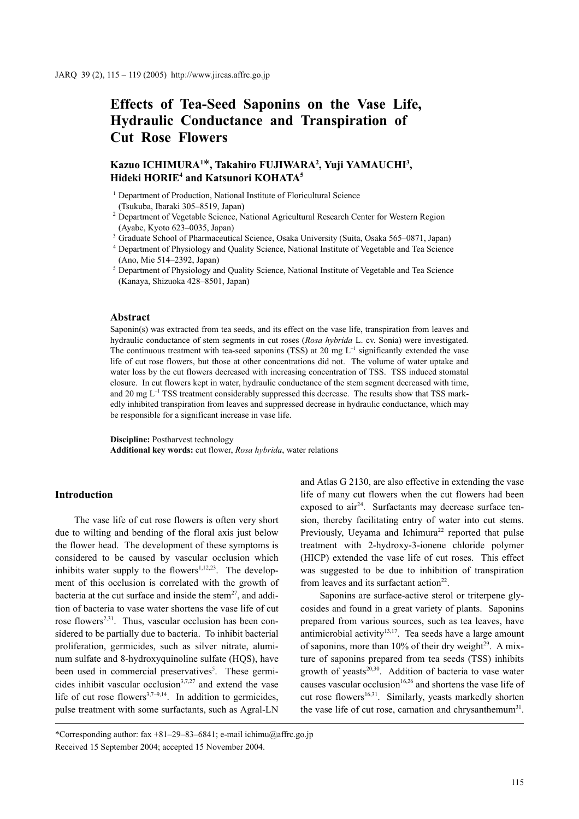# **Effects of Tea-Seed Saponins on the Vase Life, Hydraulic Conductance and Transpiration of Cut Rose Flowers**

# **Kazuo ICHIMURA1** \***, Takahiro FUJIWARA2 , Yuji YAMAUCHI3 , Hideki HORIE4 and Katsunori KOHATA5**

<sup>1</sup> Department of Production, National Institute of Floricultural Science

(Tsukuba, Ibaraki 305–8519, Japan)

- <sup>2</sup> Department of Vegetable Science, National Agricultural Research Center for Western Region (Ayabe, Kyoto 623–0035, Japan)
- <sup>3</sup> Graduate School of Pharmaceutical Science, Osaka University (Suita, Osaka 565-0871, Japan)
- <sup>4</sup> Department of Physiology and Quality Science, National Institute of Vegetable and Tea Science (Ano, Mie 514–2392, Japan)
- <sup>5</sup> Department of Physiology and Quality Science, National Institute of Vegetable and Tea Science (Kanaya, Shizuoka 428–8501, Japan)

# **Abstract**

Saponin(s) was extracted from tea seeds, and its effect on the vase life, transpiration from leaves and hydraulic conductance of stem segments in cut roses (*Rosa hybrida* L. cv. Sonia) were investigated. The continuous treatment with tea-seed saponins (TSS) at 20 mg  $L^{-1}$  significantly extended the vase life of cut rose flowers, but those at other concentrations did not. The volume of water uptake and water loss by the cut flowers decreased with increasing concentration of TSS. TSS induced stomatal closure. In cut flowers kept in water, hydraulic conductance of the stem segment decreased with time, and 20 mg  $L^{-1}$  TSS treatment considerably suppressed this decrease. The results show that TSS markedly inhibited transpiration from leaves and suppressed decrease in hydraulic conductance, which may be responsible for a significant increase in vase life.

**Discipline:** Postharvest technology **Additional key words:** cut flower, *Rosa hybrida*, water relations

#### **Introduction**

The vase life of cut rose flowers is often very short due to wilting and bending of the floral axis just below the flower head. The development of these symptoms is considered to be caused by vascular occlusion which inhibits water supply to the flowers<sup> $1,12,23$ </sup>. The development of this occlusion is correlated with the growth of bacteria at the cut surface and inside the stem<sup>27</sup>, and addition of bacteria to vase water shortens the vase life of cut rose flowers<sup>2,31</sup>. Thus, vascular occlusion has been considered to be partially due to bacteria. To inhibit bacterial proliferation, germicides, such as silver nitrate, aluminum sulfate and 8-hydroxyquinoline sulfate (HQS), have been used in commercial preservatives<sup>5</sup>. These germicides inhibit vascular occlusion $3,7,27$  and extend the vase life of cut rose flowers<sup>3,7–9,14</sup>. In addition to germicides, pulse treatment with some surfactants, such as Agral-LN and Atlas G 2130, are also effective in extending the vase

Saponins are surface-active sterol or triterpene glycosides and found in a great variety of plants. Saponins prepared from various sources, such as tea leaves, have antimicrobial activity<sup>13,17</sup>. Tea seeds have a large amount of saponins, more than  $10\%$  of their dry weight<sup>29</sup>. A mixture of saponins prepared from tea seeds (TSS) inhibits growth of yeasts $20,30$ . Addition of bacteria to vase water causes vascular occlusion<sup>16,26</sup> and shortens the vase life of cut rose flowers<sup>16,31</sup>. Similarly, yeasts markedly shorten the vase life of cut rose, carnation and chrysanthemum<sup>31</sup>.

life of many cut flowers when the cut flowers had been exposed to  $air^{24}$ . Surfactants may decrease surface tension, thereby facilitating entry of water into cut stems. Previously, Ueyama and Ichimura<sup>22</sup> reported that pulse treatment with 2-hydroxy-3-ionene chloride polymer (HICP) extended the vase life of cut roses. This effect was suggested to be due to inhibition of transpiration from leaves and its surfactant action<sup>22</sup>.

<sup>\*</sup>Corresponding author: fax +81–29–83–6841; e-mail ichimu@affrc.go.jp Received 15 September 2004; accepted 15 November 2004.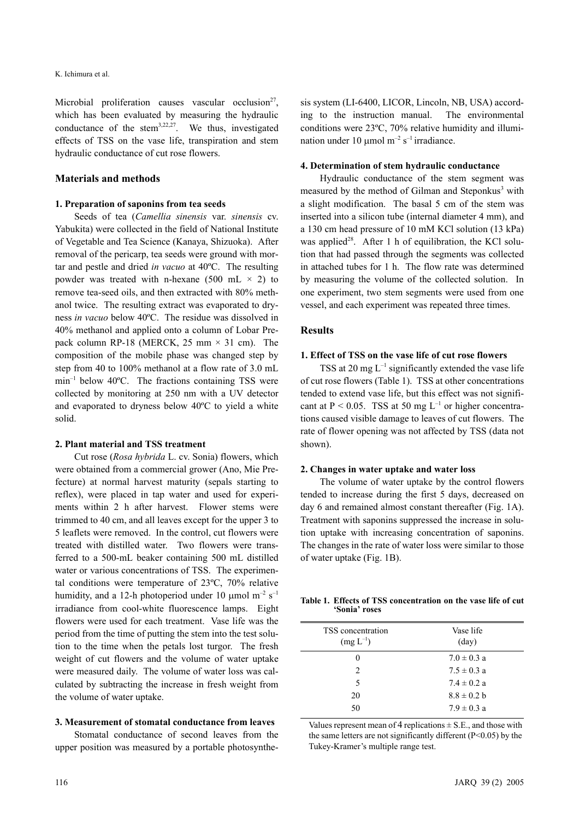Microbial proliferation causes vascular occlusion<sup>27</sup>, which has been evaluated by measuring the hydraulic conductance of the stem<sup>3,22,27</sup>. We thus, investigated effects of TSS on the vase life, transpiration and stem hydraulic conductance of cut rose flowers.

# **Materials and methods**

#### **1. Preparation of saponins from tea seeds**

Seeds of tea (*Camellia sinensis* var. *sinensis* cv. Yabukita) were collected in the field of National Institute of Vegetable and Tea Science (Kanaya, Shizuoka). After removal of the pericarp, tea seeds were ground with mortar and pestle and dried *in vacuo* at 40ºC. The resulting powder was treated with n-hexane (500 mL  $\times$  2) to remove tea-seed oils, and then extracted with 80% methanol twice. The resulting extract was evaporated to dryness *in vacuo* below 40ºC. The residue was dissolved in 40% methanol and applied onto a column of Lobar Prepack column RP-18 (MERCK, 25 mm  $\times$  31 cm). The composition of the mobile phase was changed step by step from 40 to 100% methanol at a flow rate of 3.0 mL min–1 below 40ºC. The fractions containing TSS were collected by monitoring at 250 nm with a UV detector and evaporated to dryness below 40ºC to yield a white solid.

#### **2. Plant material and TSS treatment**

Cut rose (*Rosa hybrida* L. cv. Sonia) flowers, which were obtained from a commercial grower (Ano, Mie Prefecture) at normal harvest maturity (sepals starting to reflex), were placed in tap water and used for experiments within 2 h after harvest. Flower stems were trimmed to 40 cm, and all leaves except for the upper 3 to 5 leaflets were removed. In the control, cut flowers were treated with distilled water. Two flowers were transferred to a 500-mL beaker containing 500 mL distilled water or various concentrations of TSS. The experimental conditions were temperature of 23ºC, 70% relative humidity, and a 12-h photoperiod under 10  $\mu$ mol m<sup>-2</sup> s<sup>-1</sup> irradiance from cool-white fluorescence lamps. Eight flowers were used for each treatment. Vase life was the period from the time of putting the stem into the test solution to the time when the petals lost turgor. The fresh weight of cut flowers and the volume of water uptake were measured daily. The volume of water loss was calculated by subtracting the increase in fresh weight from the volume of water uptake.

## **3. Measurement of stomatal conductance from leaves**

Stomatal conductance of second leaves from the upper position was measured by a portable photosynthe-

sis system (LI-6400, LICOR, Lincoln, NB, USA) according to the instruction manual. The environmental conditions were 23ºC, 70% relative humidity and illumination under 10  $\mu$ mol m<sup>-2</sup> s<sup>-1</sup> irradiance.

#### **4. Determination of stem hydraulic conductance**

Hydraulic conductance of the stem segment was measured by the method of Gilman and Steponkus<sup>3</sup> with a slight modification. The basal 5 cm of the stem was inserted into a silicon tube (internal diameter 4 mm), and a 130 cm head pressure of 10 mM KCl solution (13 kPa) was applied<sup>28</sup>. After 1 h of equilibration, the KCl solution that had passed through the segments was collected in attached tubes for 1 h. The flow rate was determined by measuring the volume of the collected solution. In one experiment, two stem segments were used from one vessel, and each experiment was repeated three times.

#### **Results**

#### **1. Effect of TSS on the vase life of cut rose flowers**

TSS at 20 mg  $L^{-1}$  significantly extended the vase life of cut rose flowers (Table 1). TSS at other concentrations tended to extend vase life, but this effect was not significant at  $P < 0.05$ . TSS at 50 mg L<sup>-1</sup> or higher concentrations caused visible damage to leaves of cut flowers. The rate of flower opening was not affected by TSS (data not shown).

#### **2. Changes in water uptake and water loss**

The volume of water uptake by the control flowers tended to increase during the first 5 days, decreased on day 6 and remained almost constant thereafter (Fig. 1A). Treatment with saponins suppressed the increase in solution uptake with increasing concentration of saponins. The changes in the rate of water loss were similar to those of water uptake (Fig. 1B).

#### **Table 1. Effects of TSS concentration on the vase life of cut 'Sonia' roses**

| Vase life<br>$\text{(day)}$ |
|-----------------------------|
| $7.0 \pm 0.3$ a             |
| $7.5 \pm 0.3$ a             |
| $7.4 \pm 0.2 a$             |
| $8.8 \pm 0.2 b$             |
| $7.9 \pm 0.3$ a             |
|                             |

Values represent mean of 4 replications  $\pm$  S.E., and those with the same letters are not significantly different  $(P<0.05)$  by the Tukey-Kramer's multiple range test.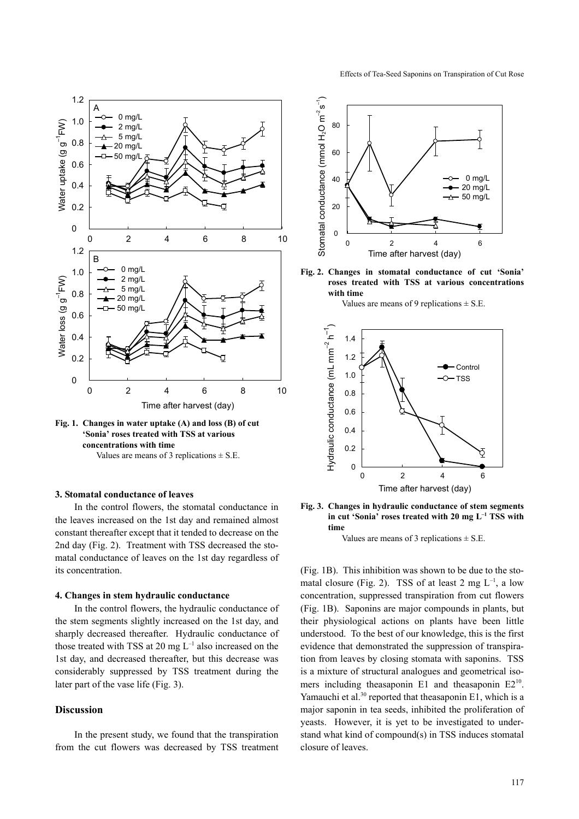

**Fig. 1. Changes in water uptake (A) and loss (B) of cut 'Sonia' roses treated with TSS at various concentrations with time**  Values are means of 3 replications  $\pm$  S.E.

# **3. Stomatal conductance of leaves**

In the control flowers, the stomatal conductance in the leaves increased on the 1st day and remained almost constant thereafter except that it tended to decrease on the 2nd day (Fig. 2). Treatment with TSS decreased the stomatal conductance of leaves on the 1st day regardless of its concentration.

#### **4. Changes in stem hydraulic conductance**

In the control flowers, the hydraulic conductance of the stem segments slightly increased on the 1st day, and sharply decreased thereafter. Hydraulic conductance of those treated with TSS at 20 mg  $L^{-1}$  also increased on the 1st day, and decreased thereafter, but this decrease was considerably suppressed by TSS treatment during the later part of the vase life (Fig. 3).

# **Discussion**

In the present study, we found that the transpiration from the cut flowers was decreased by TSS treatment



**Fig. 2. Changes in stomatal conductance of cut 'Sonia' roses treated with TSS at various concentrations with time** 

Values are means of 9 replications  $\pm$  S.E.





Values are means of 3 replications  $\pm$  S.E.

(Fig. 1B). This inhibition was shown to be due to the stomatal closure (Fig. 2). TSS of at least 2 mg  $L^{-1}$ , a low concentration, suppressed transpiration from cut flowers (Fig. 1B). Saponins are major compounds in plants, but their physiological actions on plants have been little understood. To the best of our knowledge, this is the first evidence that demonstrated the suppression of transpiration from leaves by closing stomata with saponins. TSS is a mixture of structural analogues and geometrical isomers including theasaponin E1 and theasaponin E2<sup>10</sup>. Yamauchi et al.<sup>30</sup> reported that theasaponin E1, which is a major saponin in tea seeds, inhibited the proliferation of yeasts. However, it is yet to be investigated to understand what kind of compound(s) in TSS induces stomatal closure of leaves.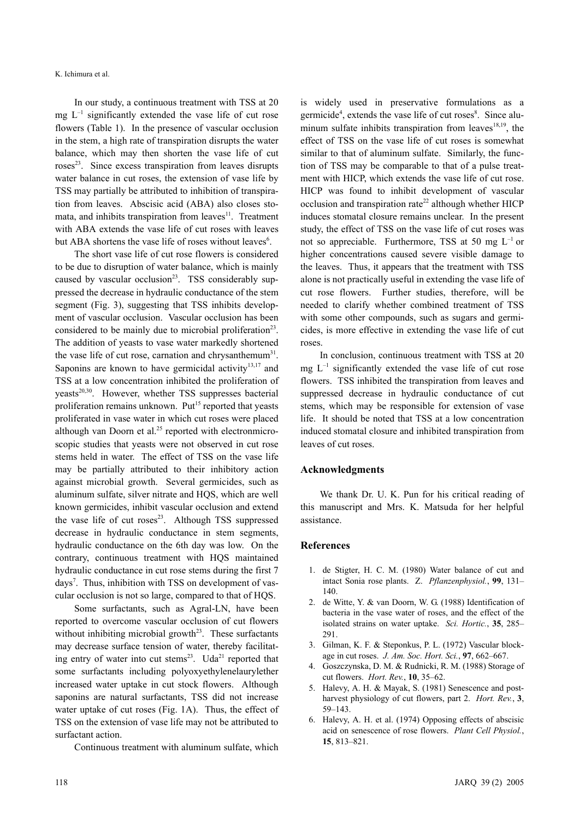In our study, a continuous treatment with TSS at 20 mg  $L^{-1}$  significantly extended the vase life of cut rose flowers (Table 1). In the presence of vascular occlusion in the stem, a high rate of transpiration disrupts the water balance, which may then shorten the vase life of cut roses<sup>23</sup>. Since excess transpiration from leaves disrupts water balance in cut roses, the extension of vase life by TSS may partially be attributed to inhibition of transpiration from leaves. Abscisic acid (ABA) also closes stomata, and inhibits transpiration from leaves<sup>11</sup>. Treatment with ABA extends the vase life of cut roses with leaves but ABA shortens the vase life of roses without leaves<sup>6</sup>.

The short vase life of cut rose flowers is considered to be due to disruption of water balance, which is mainly caused by vascular occlusion<sup>23</sup>. TSS considerably suppressed the decrease in hydraulic conductance of the stem segment (Fig. 3), suggesting that TSS inhibits development of vascular occlusion. Vascular occlusion has been considered to be mainly due to microbial proliferation<sup>23</sup>. The addition of yeasts to vase water markedly shortened the vase life of cut rose, carnation and chrysanthemum<sup>31</sup>. Saponins are known to have germicidal activity $13,17$  and TSS at a low concentration inhibited the proliferation of  $y$ easts<sup>20,30</sup>. However, whether TSS suppresses bacterial proliferation remains unknown. Put<sup>15</sup> reported that yeasts proliferated in vase water in which cut roses were placed although van Doorn et al. $25$  reported with electronmicroscopic studies that yeasts were not observed in cut rose stems held in water. The effect of TSS on the vase life may be partially attributed to their inhibitory action against microbial growth. Several germicides, such as aluminum sulfate, silver nitrate and HQS, which are well known germicides, inhibit vascular occlusion and extend the vase life of cut roses $^{23}$ . Although TSS suppressed decrease in hydraulic conductance in stem segments, hydraulic conductance on the 6th day was low. On the contrary, continuous treatment with HQS maintained hydraulic conductance in cut rose stems during the first 7 days<sup>7</sup>. Thus, inhibition with TSS on development of vascular occlusion is not so large, compared to that of HQS.

Some surfactants, such as Agral-LN, have been reported to overcome vascular occlusion of cut flowers without inhibiting microbial growth<sup>23</sup>. These surfactants may decrease surface tension of water, thereby facilitating entry of water into cut stems $23$ . Uda<sup>21</sup> reported that some surfactants including polyoxyethylenelaurylether increased water uptake in cut stock flowers. Although saponins are natural surfactants, TSS did not increase water uptake of cut roses (Fig. 1A). Thus, the effect of TSS on the extension of vase life may not be attributed to surfactant action.

Continuous treatment with aluminum sulfate, which

is widely used in preservative formulations as a germicide<sup>4</sup>, extends the vase life of cut roses<sup>8</sup>. Since aluminum sulfate inhibits transpiration from leaves<sup>18,19</sup>, the effect of TSS on the vase life of cut roses is somewhat similar to that of aluminum sulfate. Similarly, the function of TSS may be comparable to that of a pulse treatment with HICP, which extends the vase life of cut rose. HICP was found to inhibit development of vascular occlusion and transpiration rate<sup>22</sup> although whether HICP induces stomatal closure remains unclear. In the present study, the effect of TSS on the vase life of cut roses was not so appreciable. Furthermore, TSS at 50 mg  $L^{-1}$  or higher concentrations caused severe visible damage to the leaves. Thus, it appears that the treatment with TSS alone is not practically useful in extending the vase life of cut rose flowers. Further studies, therefore, will be needed to clarify whether combined treatment of TSS with some other compounds, such as sugars and germicides, is more effective in extending the vase life of cut roses.

In conclusion, continuous treatment with TSS at 20 mg  $L^{-1}$  significantly extended the vase life of cut rose flowers. TSS inhibited the transpiration from leaves and suppressed decrease in hydraulic conductance of cut stems, which may be responsible for extension of vase life. It should be noted that TSS at a low concentration induced stomatal closure and inhibited transpiration from leaves of cut roses.

# **Acknowledgments**

We thank Dr. U. K. Pun for his critical reading of this manuscript and Mrs. K. Matsuda for her helpful assistance.

#### **References**

- 1. de Stigter, H. C. M. (1980) Water balance of cut and intact Sonia rose plants. Z. *Pflanzenphysiol.*, **99**, 131– 140.
- 2. de Witte, Y. & van Doorn, W. G. (1988) Identification of bacteria in the vase water of roses, and the effect of the isolated strains on water uptake. *Sci. Hortic.*, **35**, 285– 291.
- 3. Gilman, K. F. & Steponkus, P. L. (1972) Vascular blockage in cut roses. *J. Am. Soc. Hort. Sci.*, **97**, 662–667.
- 4. Goszczynska, D. M. & Rudnicki, R. M. (1988) Storage of cut flowers. *Hort. Rev.*, **10**, 35–62.
- 5. Halevy, A. H. & Mayak, S. (1981) Senescence and postharvest physiology of cut flowers, part 2. *Hort. Rev.*, **3**, 59–143.
- 6. Halevy, A. H. et al. (1974) Opposing effects of abscisic acid on senescence of rose flowers. *Plant Cell Physiol.*, **15**, 813–821.